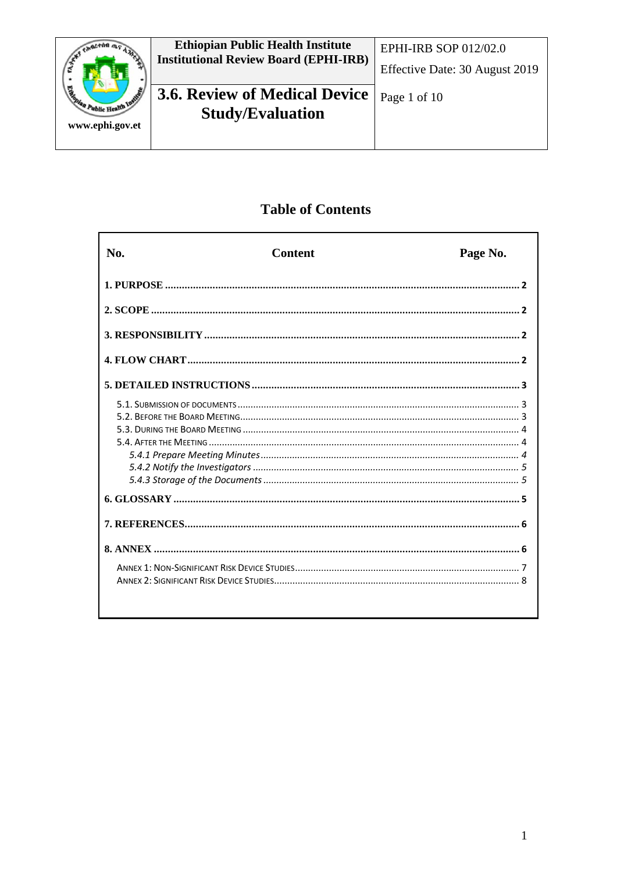

# **Table of Contents**

| No. | <b>Content</b> | Page No. |
|-----|----------------|----------|
|     |                |          |
|     |                |          |
|     |                |          |
|     |                |          |
|     |                |          |
|     |                |          |
|     |                |          |
|     |                |          |
|     |                |          |
|     |                |          |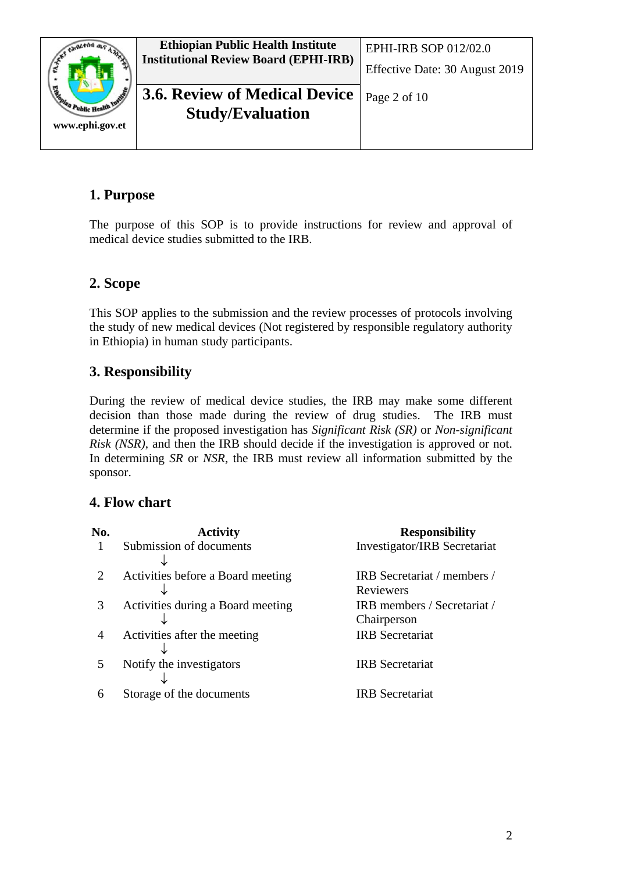

# <span id="page-1-0"></span>**1. Purpose**

The purpose of this SOP is to provide instructions for review and approval of medical device studies submitted to the IRB.

# <span id="page-1-1"></span>**2. Scope**

This SOP applies to the submission and the review processes of protocols involving the study of new medical devices (Not registered by responsible regulatory authority in Ethiopia) in human study participants.

# <span id="page-1-2"></span>**3. Responsibility**

During the review of medical device studies, the IRB may make some different decision than those made during the review of drug studies. The IRB must determine if the proposed investigation has *Significant Risk (SR)* or *Non-significant Risk (NSR)*, and then the IRB should decide if the investigation is approved or not. In determining *SR* or *NSR*, the IRB must review all information submitted by the sponsor.

# <span id="page-1-3"></span>**4. Flow chart**

| No. | <b>Activity</b>                   | <b>Responsibility</b>               |
|-----|-----------------------------------|-------------------------------------|
|     | Submission of documents           | <b>Investigator/IRB Secretariat</b> |
|     | Activities before a Board meeting | IRB Secretariat / members /         |
|     |                                   | Reviewers                           |
| 3   | Activities during a Board meeting | IRB members / Secretariat /         |
|     |                                   | Chairperson                         |
| 4   | Activities after the meeting      | <b>IRB</b> Secretariat              |
|     | Notify the investigators          | <b>IRB</b> Secretariat              |
| 6   | Storage of the documents          | <b>IRB</b> Secretariat              |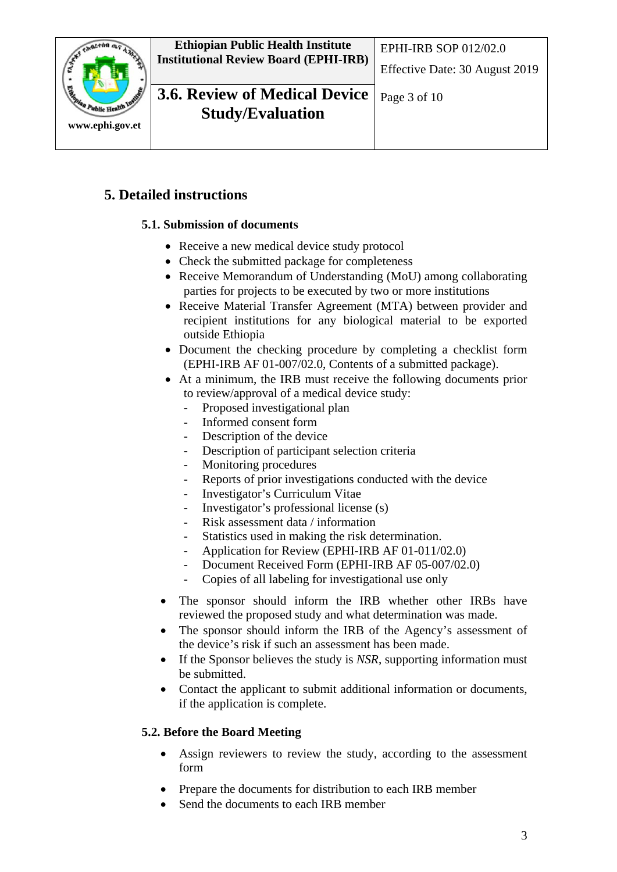

# <span id="page-2-1"></span><span id="page-2-0"></span>**5. Detailed instructions**

# **5.1. Submission of documents**

- Receive a new medical device study protocol
- Check the submitted package for completeness
- Receive Memorandum of Understanding (MoU) among collaborating parties for projects to be executed by two or more institutions
- Receive Material Transfer Agreement (MTA) between provider and recipient institutions for any biological material to be exported outside Ethiopia
- Document the checking procedure by completing a checklist form (EPHI-IRB AF 01-007/02.0, Contents of a submitted package).
- At a minimum, the IRB must receive the following documents prior to review/approval of a medical device study:
	- Proposed investigational plan
	- Informed consent form
	- Description of the device
	- Description of participant selection criteria
	- Monitoring procedures
	- Reports of prior investigations conducted with the device
	- Investigator's Curriculum Vitae
	- Investigator's professional license (s)
	- Risk assessment data / information
	- Statistics used in making the risk determination.
	- Application for Review (EPHI-IRB AF 01-011/02.0)
	- Document Received Form (EPHI-IRB AF 05-007/02.0)
	- Copies of all labeling for investigational use only
- The sponsor should inform the IRB whether other IRBs have reviewed the proposed study and what determination was made.
- The sponsor should inform the IRB of the Agency's assessment of the device's risk if such an assessment has been made.
- If the Sponsor believes the study is *NSR*, supporting information must be submitted.
- Contact the applicant to submit additional information or documents, if the application is complete.

# <span id="page-2-2"></span>**5.2. Before the Board Meeting**

- Assign reviewers to review the study, according to the assessment form
- Prepare the documents for distribution to each IRB member
- Send the documents to each IRB member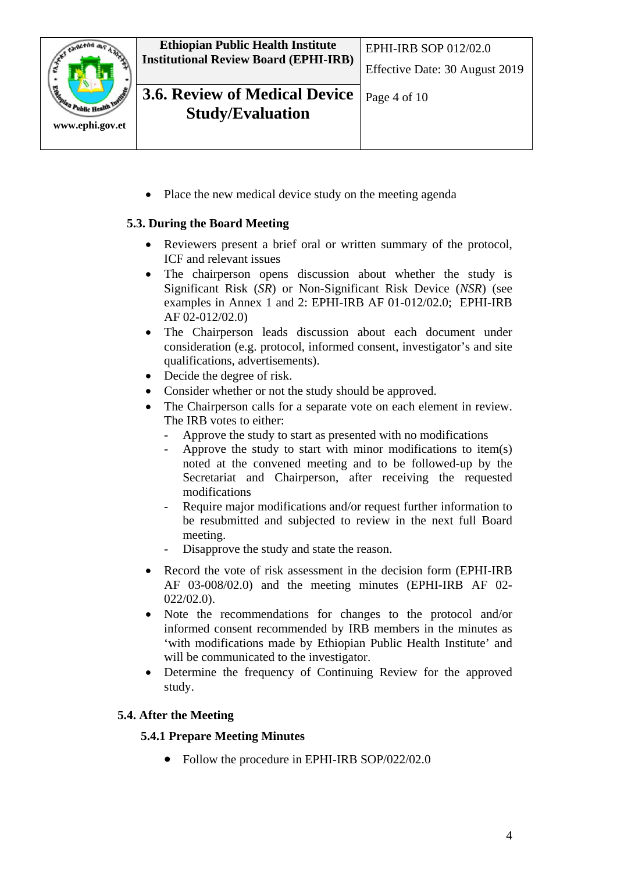

• Place the new medical device study on the meeting agenda

### <span id="page-3-0"></span>**5.3. During the Board Meeting**

- Reviewers present a brief oral or written summary of the protocol, ICF and relevant issues
- The chairperson opens discussion about whether the study is Significant Risk (*SR*) or Non-Significant Risk Device (*NSR*) (see examples in Annex 1 and 2: EPHI-IRB AF 01-012/02.0; EPHI-IRB AF 02-012/02.0)
- The Chairperson leads discussion about each document under consideration (e.g. protocol, informed consent, investigator's and site qualifications, advertisements).
- Decide the degree of risk.
- Consider whether or not the study should be approved.
- The Chairperson calls for a separate vote on each element in review. The IRB votes to either:
	- Approve the study to start as presented with no modifications
	- Approve the study to start with minor modifications to item(s) noted at the convened meeting and to be followed-up by the Secretariat and Chairperson, after receiving the requested modifications
	- Require major modifications and/or request further information to be resubmitted and subjected to review in the next full Board meeting.
	- Disapprove the study and state the reason.
- Record the vote of risk assessment in the decision form (EPHI-IRB AF 03-008/02.0) and the meeting minutes (EPHI-IRB AF 02- 022/02.0).
- Note the recommendations for changes to the protocol and/or informed consent recommended by IRB members in the minutes as 'with modifications made by Ethiopian Public Health Institute' and will be communicated to the investigator.
- Determine the frequency of Continuing Review for the approved study.

### <span id="page-3-2"></span><span id="page-3-1"></span>**5.4. After the Meeting**

### **5.4.1 Prepare Meeting Minutes**

• Follow the procedure in EPHI-IRB SOP/022/02.0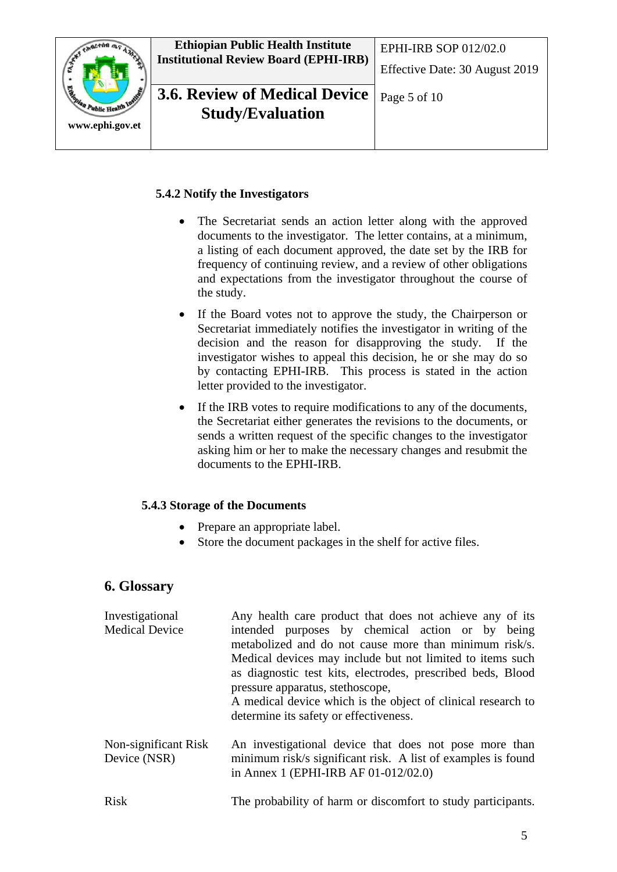

### <span id="page-4-0"></span>**5.4.2 Notify the Investigators**

- The Secretariat sends an action letter along with the approved documents to the investigator. The letter contains, at a minimum, a listing of each document approved, the date set by the IRB for frequency of continuing review, and a review of other obligations and expectations from the investigator throughout the course of the study.
- If the Board votes not to approve the study, the Chairperson or Secretariat immediately notifies the investigator in writing of the decision and the reason for disapproving the study. If the investigator wishes to appeal this decision, he or she may do so by contacting EPHI-IRB. This process is stated in the action letter provided to the investigator.
- If the IRB votes to require modifications to any of the documents, the Secretariat either generates the revisions to the documents, or sends a written request of the specific changes to the investigator asking him or her to make the necessary changes and resubmit the documents to the EPHI-IRB.

# <span id="page-4-1"></span>**5.4.3 Storage of the Documents**

- Prepare an appropriate label.
- Store the document packages in the shelf for active files.

# <span id="page-4-2"></span>**6. Glossary**

| Investigational<br><b>Medical Device</b> | Any health care product that does not achieve any of its<br>intended purposes by chemical action or by being<br>metabolized and do not cause more than minimum risk/s.<br>Medical devices may include but not limited to items such<br>as diagnostic test kits, electrodes, prescribed beds, Blood<br>pressure apparatus, stethoscope,<br>A medical device which is the object of clinical research to<br>determine its safety or effectiveness. |  |
|------------------------------------------|--------------------------------------------------------------------------------------------------------------------------------------------------------------------------------------------------------------------------------------------------------------------------------------------------------------------------------------------------------------------------------------------------------------------------------------------------|--|
| Non-significant Risk<br>Device (NSR)     | An investigational device that does not pose more than<br>minimum risk/s significant risk. A list of examples is found<br>in Annex 1 (EPHI-IRB AF 01-012/02.0)                                                                                                                                                                                                                                                                                   |  |
| <b>Risk</b>                              | The probability of harm or discomfort to study participants.                                                                                                                                                                                                                                                                                                                                                                                     |  |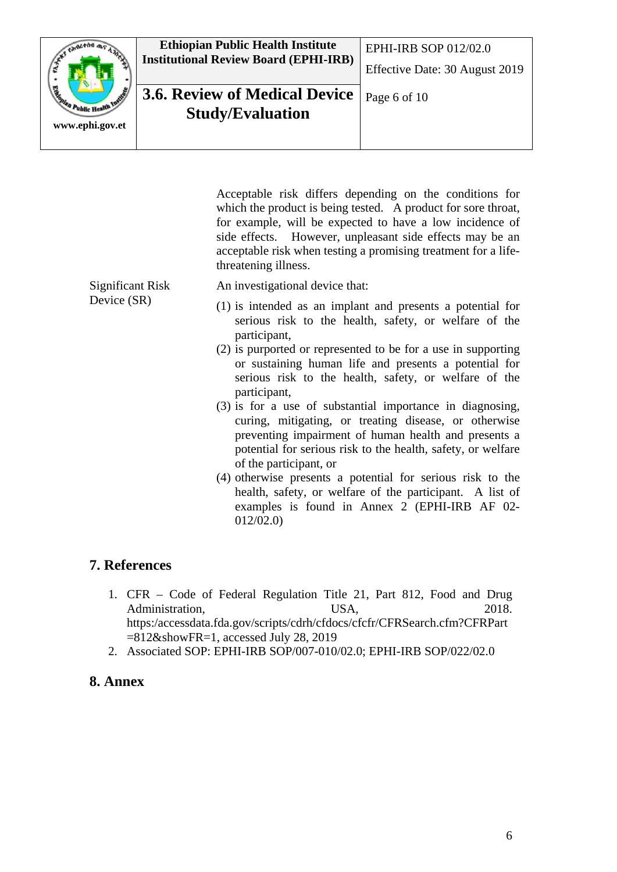

|                                 | Acceptable risk differs depending on the conditions for<br>which the product is being tested. A product for sore throat,<br>for example, will be expected to have a low incidence of<br>side effects. However, unpleasant side effects may be an<br>acceptable risk when testing a promising treatment for a life-<br>threatening illness. |
|---------------------------------|--------------------------------------------------------------------------------------------------------------------------------------------------------------------------------------------------------------------------------------------------------------------------------------------------------------------------------------------|
| Significant Risk<br>Device (SR) | An investigational device that:                                                                                                                                                                                                                                                                                                            |
|                                 | (1) is intended as an implant and presents a potential for<br>serious risk to the health, safety, or welfare of the<br>participant,                                                                                                                                                                                                        |
|                                 | (2) is purported or represented to be for a use in supporting<br>or sustaining human life and presents a potential for<br>serious risk to the health, safety, or welfare of the<br>participant,                                                                                                                                            |
|                                 | (3) is for a use of substantial importance in diagnosing,<br>curing, mitigating, or treating disease, or otherwise<br>preventing impairment of human health and presents a<br>potential for serious risk to the health, safety, or welfare                                                                                                 |

of the participant, or (4) otherwise presents a potential for serious risk to the health, safety, or welfare of the participant. A list of examples is found in Annex 2 (EPHI-IRB AF 02- 012/02.0)

# <span id="page-5-0"></span>**7. References**

- 1. CFR Code of Federal Regulation Title 21, Part 812, Food and Drug Administration, USA, USA, 2018. https:/accessdata.fda.gov/scripts/cdrh/cfdocs/cfcfr/CFRSearch.cfm?CFRPart =812&showFR=1, accessed July 28, 2019
- 2. Associated SOP: EPHI-IRB SOP/007-010/02.0; EPHI-IRB SOP/022/02.0

# <span id="page-5-1"></span>**8. Annex**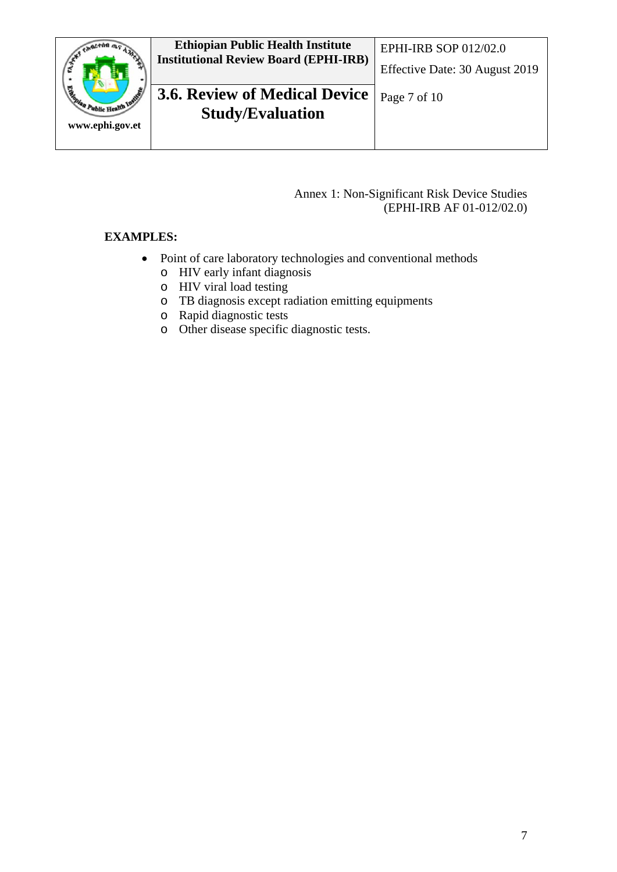

#### <span id="page-6-0"></span>Annex 1: Non-Significant Risk Device Studies (EPHI-IRB AF 01-012/02.0)

# **EXAMPLES:**

- Point of care laboratory technologies and conventional methods
	- o HIV early infant diagnosis
	- o HIV viral load testing
	- o TB diagnosis except radiation emitting equipments
	- o Rapid diagnostic tests
	- o Other disease specific diagnostic tests.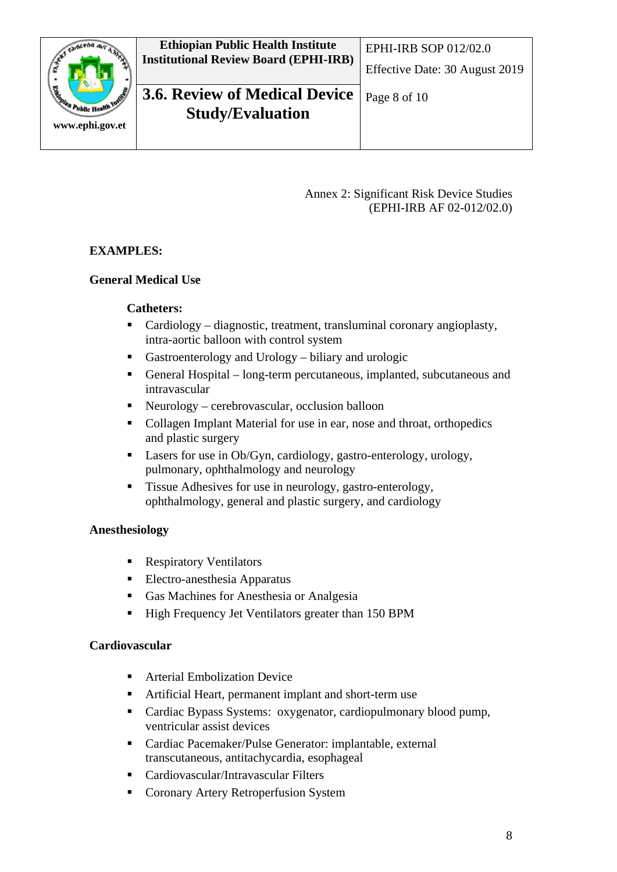

|            | <b>Ethiopian Public Health Institute</b><br><b>Institutional Review Board (EPHI-IRB)</b> | <b>EPHI-IRB SOP 012/02.0</b>   |
|------------|------------------------------------------------------------------------------------------|--------------------------------|
| <b>REA</b> |                                                                                          | Effective Date: 30 August 2019 |
| state      | 3.6. Review of Medical Device                                                            | Page 8 of 10                   |
| et         | <b>Study/Evaluation</b>                                                                  |                                |
|            |                                                                                          |                                |

Annex 2: Significant Risk Device Studies (EPHI-IRB AF 02-012/02.0)

# <span id="page-7-0"></span>**EXAMPLES:**

# **General Medical Use**

### **Catheters:**

- Cardiology diagnostic, treatment, transluminal coronary angioplasty, intra-aortic balloon with control system
- Gastroenterology and Urology biliary and urologic
- General Hospital long-term percutaneous, implanted, subcutaneous and intravascular
- Neurology cerebrovascular, occlusion balloon
- Collagen Implant Material for use in ear, nose and throat, orthopedics and plastic surgery
- **Lasers for use in Ob/Gyn, cardiology, gastro-enterology, urology,** pulmonary, ophthalmology and neurology
- **Tissue Adhesives for use in neurology, gastro-enterology,** ophthalmology, general and plastic surgery, and cardiology

# **Anesthesiology**

- **Respiratory Ventilators**
- Electro-anesthesia Apparatus
- Gas Machines for Anesthesia or Analgesia
- High Frequency Jet Ventilators greater than 150 BPM

### **Cardiovascular**

- **Arterial Embolization Device**
- Artificial Heart, permanent implant and short-term use
- Cardiac Bypass Systems: oxygenator, cardiopulmonary blood pump, ventricular assist devices
- Cardiac Pacemaker/Pulse Generator: implantable, external transcutaneous, antitachycardia, esophageal
- **Cardiovascular/Intravascular Filters**
- **Coronary Artery Retroperfusion System**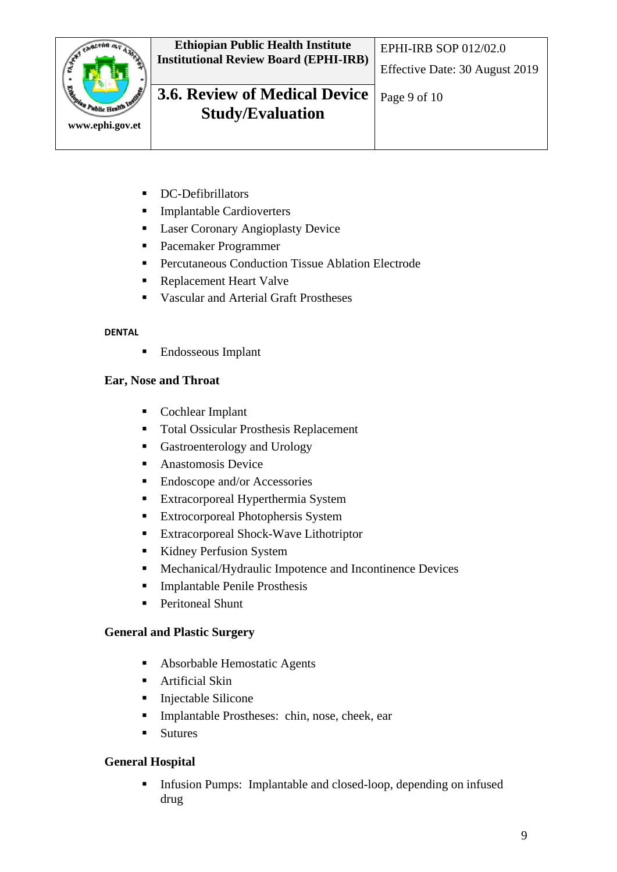

- **DC-Defibrillators**
- **Implantable Cardioverters**
- **Laser Coronary Angioplasty Device**
- Pacemaker Programmer
- **Percutaneous Conduction Tissue Ablation Electrode**
- Replacement Heart Valve
- Vascular and Arterial Graft Prostheses

### **DENTAL**

■ Endosseous Implant

# **Ear, Nose and Throat**

- Cochlear Implant
- Total Ossicular Prosthesis Replacement
- Gastroenterology and Urology
- **Anastomosis Device**
- Endoscope and/or Accessories
- **Extracorporeal Hyperthermia System**
- **Extrocorporeal Photophersis System**
- **Extracorporeal Shock-Wave Lithotriptor**
- Kidney Perfusion System
- **•** Mechanical/Hydraulic Impotence and Incontinence Devices
- **Implantable Penile Prosthesis**
- **Peritoneal Shunt**

# **General and Plastic Surgery**

- Absorbable Hemostatic Agents
- **Artificial Skin**
- Injectable Silicone
- Implantable Prostheses: chin, nose, cheek, ear
- **Sutures**

# **General Hospital**

**Infusion Pumps:** Implantable and closed-loop, depending on infused drug